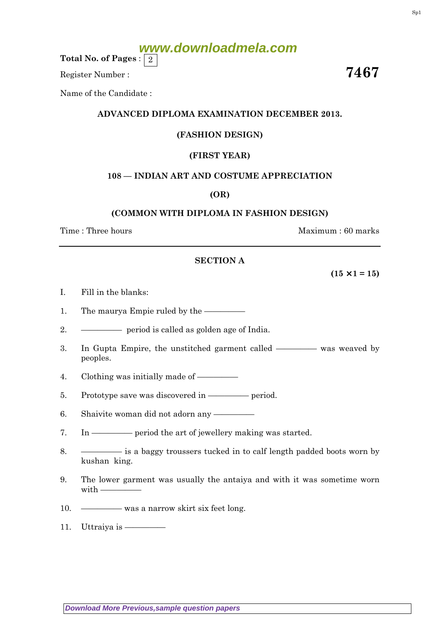# **www.downloadmela.com**

Total No. of Pages :  $\mid 2 \rangle$ 

Register Number :  $\overline{\hspace{1cm}}$  7467

Name of the Candidate :

## ADVANCED DIPLOMA EXAMINATION DECEMBER 2013.

# (FASHION DESIGN)

# (FIRST YEAR)

## 108 — INDIAN ART AND COSTUME APPRECIATION

## (OR)

## (COMMON WITH DIPLOMA IN FASHION DESIGN)

Time : Three hours and the set of the set of the Maximum : 60 marks

### SECTION A

 $(15 \times 1 = 15)$ 

- I. Fill in the blanks:
- 1. The maurya Empie ruled by the —————
- 2. ————— period is called as golden age of India.
- 3. In Gupta Empire, the unstitched garment called ————— was weaved by peoples.
- 4. Clothing was initially made of —————
- 5. Prototype save was discovered in ————— period.
- 6. Shaivite woman did not adorn any —————
- 7. In ————— period the art of jewellery making was started.
- 8. ————— is a baggy troussers tucked in to calf length padded boots worn by kushan king.
- 9. The lower garment was usually the antaiya and with it was sometime worn with  $-$
- 10. ————— was a narrow skirt six feet long.
- 11. Uttraiya is —————